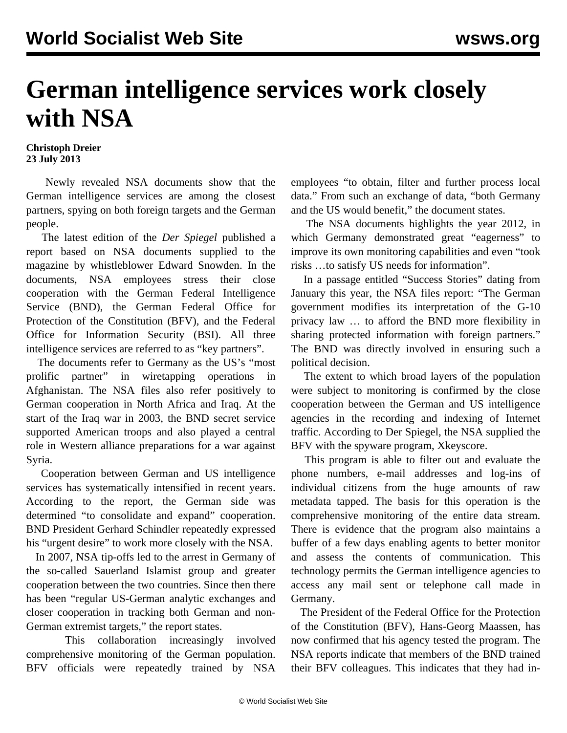## **German intelligence services work closely with NSA**

## **Christoph Dreier 23 July 2013**

 Newly revealed NSA documents show that the German intelligence services are among the closest partners, spying on both foreign targets and the German people.

 The latest edition of the *Der Spiegel* published a report based on NSA documents supplied to the magazine by whistleblower Edward Snowden. In the documents, NSA employees stress their close cooperation with the German Federal Intelligence Service (BND), the German Federal Office for Protection of the Constitution (BFV), and the Federal Office for Information Security (BSI). All three intelligence services are referred to as "key partners".

 The documents refer to Germany as the US's "most prolific partner" in wiretapping operations in Afghanistan. The NSA files also refer positively to German cooperation in North Africa and Iraq. At the start of the Iraq war in 2003, the BND secret service supported American troops and also played a central role in Western alliance preparations for a war against Syria.

 Cooperation between German and US intelligence services has systematically intensified in recent years. According to the report, the German side was determined "to consolidate and expand" cooperation. BND President Gerhard Schindler repeatedly expressed his "urgent desire" to work more closely with the NSA.

 In 2007, NSA tip-offs led to the arrest in Germany of the so-called Sauerland Islamist group and greater cooperation between the two countries. Since then there has been "regular US-German analytic exchanges and closer cooperation in tracking both German and non-German extremist targets," the report states.

 This collaboration increasingly involved comprehensive monitoring of the German population. BFV officials were repeatedly trained by NSA employees "to obtain, filter and further process local data." From such an exchange of data, "both Germany and the US would benefit," the document states.

 The NSA documents highlights the year 2012, in which Germany demonstrated great "eagerness" to improve its own monitoring capabilities and even "took risks …to satisfy US needs for information".

 In a passage entitled "Success Stories" dating from January this year, the NSA files report: "The German government modifies its interpretation of the G-10 privacy law … to afford the BND more flexibility in sharing protected information with foreign partners." The BND was directly involved in ensuring such a political decision.

 The extent to which broad layers of the population were subject to monitoring is confirmed by the close cooperation between the German and US intelligence agencies in the recording and indexing of Internet traffic. According to Der Spiegel, the NSA supplied the BFV with the spyware program, Xkeyscore.

 This program is able to filter out and evaluate the phone numbers, e-mail addresses and log-ins of individual citizens from the huge amounts of raw metadata tapped. The basis for this operation is the comprehensive monitoring of the entire data stream. There is evidence that the program also maintains a buffer of a few days enabling agents to better monitor and assess the contents of communication. This technology permits the German intelligence agencies to access any mail sent or telephone call made in Germany.

 The President of the Federal Office for the Protection of the Constitution (BFV), Hans-Georg Maassen, has now confirmed that his agency tested the program. The NSA reports indicate that members of the BND trained their BFV colleagues. This indicates that they had in